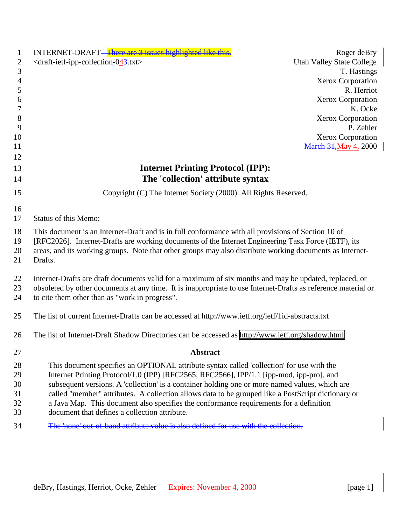| 1              | INTERNET-DRAFT—There are 3 issues highlighted like this.                                                                                                                                                  | Roger deBry                      |
|----------------|-----------------------------------------------------------------------------------------------------------------------------------------------------------------------------------------------------------|----------------------------------|
| $\mathbf{2}$   | <draft-ietf-ipp-collection-043.txt></draft-ietf-ipp-collection-043.txt>                                                                                                                                   | <b>Utah Valley State College</b> |
| $\mathfrak{Z}$ |                                                                                                                                                                                                           | T. Hastings                      |
| $\overline{4}$ |                                                                                                                                                                                                           | Xerox Corporation                |
| 5              |                                                                                                                                                                                                           | R. Herriot                       |
| 6              |                                                                                                                                                                                                           | <b>Xerox Corporation</b>         |
| 7              |                                                                                                                                                                                                           | K. Ocke                          |
| $8\phantom{1}$ |                                                                                                                                                                                                           | Xerox Corporation                |
| 9              |                                                                                                                                                                                                           | P. Zehler                        |
| 10             |                                                                                                                                                                                                           | Xerox Corporation                |
| 11             |                                                                                                                                                                                                           | <b>March 31, May 4, 2000</b>     |
| 12<br>13       | <b>Internet Printing Protocol (IPP):</b>                                                                                                                                                                  |                                  |
|                | The 'collection' attribute syntax                                                                                                                                                                         |                                  |
| 14             |                                                                                                                                                                                                           |                                  |
| 15             | Copyright (C) The Internet Society (2000). All Rights Reserved.                                                                                                                                           |                                  |
| 16             |                                                                                                                                                                                                           |                                  |
| 17             | <b>Status of this Memo:</b>                                                                                                                                                                               |                                  |
|                |                                                                                                                                                                                                           |                                  |
| 18<br>19       | This document is an Internet-Draft and is in full conformance with all provisions of Section 10 of<br>[RFC2026]. Internet-Drafts are working documents of the Internet Engineering Task Force (IETF), its |                                  |
| 20             | areas, and its working groups. Note that other groups may also distribute working documents as Internet-                                                                                                  |                                  |
| 21             | Drafts.                                                                                                                                                                                                   |                                  |
|                |                                                                                                                                                                                                           |                                  |
| 22             | Internet-Drafts are draft documents valid for a maximum of six months and may be updated, replaced, or                                                                                                    |                                  |
| 23             | obsoleted by other documents at any time. It is inappropriate to use Internet-Drafts as reference material or                                                                                             |                                  |
| 24             | to cite them other than as "work in progress".                                                                                                                                                            |                                  |
|                |                                                                                                                                                                                                           |                                  |
| 25             | The list of current Internet-Drafts can be accessed at http://www.ietf.org/ietf/1id-abstracts.txt                                                                                                         |                                  |
| 26             | The list of Internet-Draft Shadow Directories can be accessed as http://www.ietf.org/shadow.html.                                                                                                         |                                  |
|                |                                                                                                                                                                                                           |                                  |
| 27             | <b>Abstract</b>                                                                                                                                                                                           |                                  |
| 28             | This document specifies an OPTIONAL attribute syntax called 'collection' for use with the                                                                                                                 |                                  |
| 29             | Internet Printing Protocol/1.0 (IPP) [RFC2565, RFC2566], IPP/1.1 [ipp-mod, ipp-pro], and                                                                                                                  |                                  |
| 30             | subsequent versions. A 'collection' is a container holding one or more named values, which are                                                                                                            |                                  |
| 31             | called "member" attributes. A collection allows data to be grouped like a PostScript dictionary or                                                                                                        |                                  |
| 32             | a Java Map. This document also specifies the conformance requirements for a definition                                                                                                                    |                                  |
| 33             | document that defines a collection attribute.                                                                                                                                                             |                                  |
| 34             | The 'none' out of band attribute value is also defined for use with the collection.                                                                                                                       |                                  |
|                |                                                                                                                                                                                                           |                                  |
|                |                                                                                                                                                                                                           |                                  |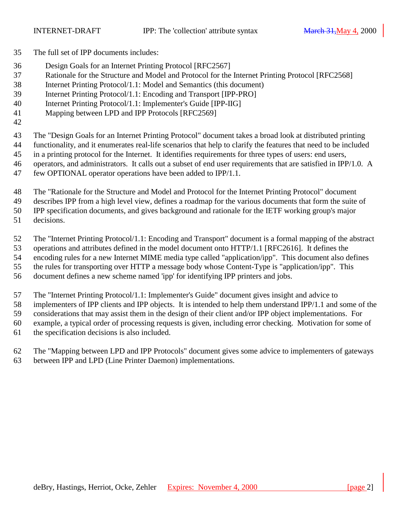- The full set of IPP documents includes:
- Design Goals for an Internet Printing Protocol [RFC2567]
- Rationale for the Structure and Model and Protocol for the Internet Printing Protocol [RFC2568]
- Internet Printing Protocol/1.1: Model and Semantics (this document)
- Internet Printing Protocol/1.1: Encoding and Transport [IPP-PRO]
- Internet Printing Protocol/1.1: Implementer's Guide [IPP-IIG]
- Mapping between LPD and IPP Protocols [RFC2569]
- 

 The "Design Goals for an Internet Printing Protocol" document takes a broad look at distributed printing functionality, and it enumerates real-life scenarios that help to clarify the features that need to be included

- in a printing protocol for the Internet. It identifies requirements for three types of users: end users,
- operators, and administrators. It calls out a subset of end user requirements that are satisfied in IPP/1.0. A
- few OPTIONAL operator operations have been added to IPP/1.1.
- The "Rationale for the Structure and Model and Protocol for the Internet Printing Protocol" document
- describes IPP from a high level view, defines a roadmap for the various documents that form the suite of

IPP specification documents, and gives background and rationale for the IETF working group's major

decisions.

The "Internet Printing Protocol/1.1: Encoding and Transport" document is a formal mapping of the abstract

operations and attributes defined in the model document onto HTTP/1.1 [RFC2616]. It defines the

encoding rules for a new Internet MIME media type called "application/ipp". This document also defines

the rules for transporting over HTTP a message body whose Content-Type is "application/ipp". This

document defines a new scheme named 'ipp' for identifying IPP printers and jobs.

The "Internet Printing Protocol/1.1: Implementer's Guide" document gives insight and advice to

implementers of IPP clients and IPP objects. It is intended to help them understand IPP/1.1 and some of the

considerations that may assist them in the design of their client and/or IPP object implementations. For

example, a typical order of processing requests is given, including error checking. Motivation for some of

the specification decisions is also included.

 The "Mapping between LPD and IPP Protocols" document gives some advice to implementers of gateways between IPP and LPD (Line Printer Daemon) implementations.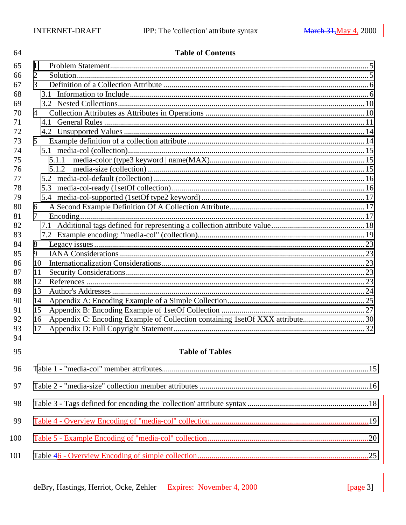| 64  | <b>Table of Contents</b>                                                            |  |
|-----|-------------------------------------------------------------------------------------|--|
| 65  | 1                                                                                   |  |
| 66  | $\overline{2}$                                                                      |  |
| 67  | 3                                                                                   |  |
| 68  | 3.1                                                                                 |  |
| 69  |                                                                                     |  |
| 70  | $\overline{4}$                                                                      |  |
| 71  |                                                                                     |  |
| 72  |                                                                                     |  |
| 73  | 5 <sup>5</sup>                                                                      |  |
| 74  |                                                                                     |  |
| 75  | 5.1.1                                                                               |  |
| 76  | 5.1.2                                                                               |  |
| 77  |                                                                                     |  |
| 78  | 5.3                                                                                 |  |
| 79  |                                                                                     |  |
| 80  | 6                                                                                   |  |
| 81  | 7                                                                                   |  |
| 82  |                                                                                     |  |
| 83  |                                                                                     |  |
| 84  | 8                                                                                   |  |
| 85  | 9                                                                                   |  |
| 86  | 10                                                                                  |  |
| 87  | 11                                                                                  |  |
| 88  | 12                                                                                  |  |
| 89  | 13                                                                                  |  |
| 90  | 14                                                                                  |  |
| 91  | 15                                                                                  |  |
| 92  | Appendix C: Encoding Example of Collection containing 1set Of XXX attribute30<br>16 |  |
| 93  | 17                                                                                  |  |
| 94  |                                                                                     |  |
| 95  | <b>Table of Tables</b>                                                              |  |
| 96  |                                                                                     |  |
| 97  |                                                                                     |  |
| 98  |                                                                                     |  |
| 99  |                                                                                     |  |
| 100 |                                                                                     |  |
| 101 |                                                                                     |  |

| deBry, Hastings, Herriot, Ocke, Zehler Expires: November 4, 2000 | [ $page 3$ ] |
|------------------------------------------------------------------|--------------|
|                                                                  |              |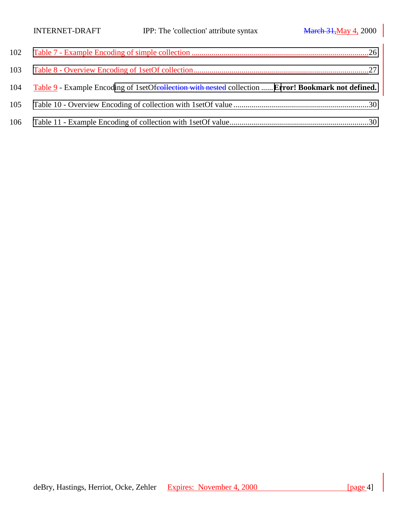| 103 |                                                                                                         |
|-----|---------------------------------------------------------------------------------------------------------|
|     | 104 Table 9 - Example Encoding of 1setOfeollection with nested collection  Error! Bookmark not defined. |
| 105 |                                                                                                         |
|     |                                                                                                         |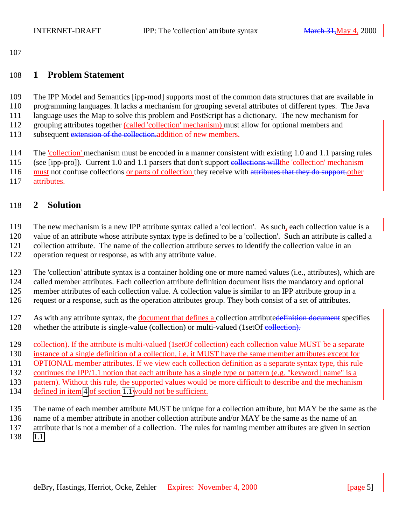## <span id="page-4-0"></span>**1 Problem Statement**

 The IPP Model and Semantics [ipp-mod] supports most of the common data structures that are available in programming languages. It lacks a mechanism for grouping several attributes of different types. The Java language uses the Map to solve this problem and PostScript has a dictionary. The new mechanism for grouping attributes together (called 'collection' mechanism) must allow for optional members and 113 subsequent extension of the collection.addition of new members.

114 The 'collection' mechanism must be encoded in a manner consistent with existing 1.0 and 1.1 parsing rules (see [ipp-pro]). Current 1.0 and 1.1 parsers that don't support collections willthe 'collection' mechanism 116 must not confuse collections or parts of collection they receive with attributes that they do support other

attributes.

# **2 Solution**

The new mechanism is a new IPP attribute syntax called a 'collection'. As such, each collection value is a

value of an attribute whose attribute syntax type is defined to be a 'collection'. Such an attribute is called a

collection attribute. The name of the collection attribute serves to identify the collection value in an

operation request or response, as with any attribute value.

The 'collection' attribute syntax is a container holding one or more named values (i.e., attributes), which are

called member attributes. Each collection attribute definition document lists the mandatory and optional

member attributes of each collection value. A collection value is similar to an IPP attribute group in a

request or a response, such as the operation attributes group. They both consist of a set of attributes.

127 As with any attribute syntax, the document that defines a collection attributedefinition document specifies

- 128 whether the attribute is single-value (collection) or multi-valued (1setOf collection).
- collection). If the attribute is multi-valued (1setOf collection) each collection value MUST be a separate
- instance of a single definition of a collection, i.e. it MUST have the same member attributes except for

OPTIONAL member attributes. If we view each collection definition as a separate syntax type, this rule

continues the IPP/1.1 notion that each attribute has a single type or pattern (e.g. "keyword | name" is a

pattern). Without this rule, the supported values would be more difficult to describe and the mechanism

defined in item [4](#page-7-0) of section [1.1w](#page-6-0)ould not be sufficient.

The name of each member attribute MUST be unique for a collection attribute, but MAY be the same as the

name of a member attribute in another collection attribute and/or MAY be the same as the name of an

attribute that is not a member of a collection. The rules for naming member attributes are given in section

[1.1.](#page-5-0)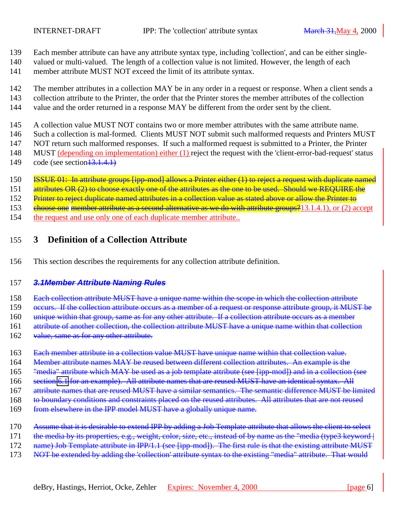- <span id="page-5-0"></span>139 Each member attribute can have any attribute syntax type, including 'collection', and can be either single-
- 140 valued or multi-valued. The length of a collection value is not limited. However, the length of each 141 member attribute MUST NOT exceed the limit of its attribute syntax.
- 142 The member attributes in a collection MAY be in any order in a request or response. When a client sends a 143 collection attribute to the Printer, the order that the Printer stores the member attributes of the collection
- 144 value and the order returned in a response MAY be different from the order sent by the client.
- 145 A collection value MUST NOT contains two or more member attributes with the same attribute name.
- 146 Such a collection is mal-formed. Clients MUST NOT submit such malformed requests and Printers MUST
- 147 NOT return such malformed responses. If such a malformed request is submitted to a Printer, the Printer
- 148 MUST (depending on implementation) either (1) reject the request with the 'client-error-bad-request' status
- 149 code (see section  $\overline{13.1.4.1}$ )
- 150 **ISSUE 01:** In attribute groups [ipp-mod] allows a Printer either (1) to reject a request with duplicate named
- 151 attributes OR (2) to choose exactly one of the attributes as the one to be used. Should we REQUIRE the
- 152 Printer to reject duplicate named attributes in a collection value as stated above or allow the Printer to
- 153 ehoose one member attribute as a second alternative as we do with attribute groups?<sup>1</sup>13.1.4.1), or (2) accept
- 154 the request and use only one of each duplicate member attribute..

# 155 **3 Definition of a Collection Attribute**

156 This section describes the requirements for any collection attribute definition.

# 157 *3.1Member Attribute Naming Rules*

- 158 Each collection attribute MUST have a unique name within the scope in which the collection attribute
- 159 occurs. If the collection attribute occurs as a member of a request or response attribute group, it MUST be
- 160 unique within that group, same as for any other attribute. If a collection attribute occurs as a member
- 161 attribute of another collection, the collection attribute MUST have a unique name within that collection
- 162 value, same as for any other attribute.
- 163 Each member attribute in a collection value MUST have unique name within that collection value.
- 164 Member attribute names MAY be reused between different collection attributes. An example is the
- 165 "media" attribute which MAY be used as a job template attribute (see [ipp-mod]) and in a collection (see
- 166 section [6.1](#page-14-0) for an example). All attribute names that are reused MUST have an identical syntax. All
- 167 attribute names that are reused MUST have a similar semantics. The semantic difference MUST be limited
- 168 to boundary conditions and constraints placed on the reused attributes. All attributes that are not reused
- 169 from elsewhere in the IPP model MUST have a globally unique name.
- 170 Assume that it is desirable to extend IPP by adding a Job Template attribute that allows the client to select
- 171 the media by its properties, e.g., weight, color, size, etc., instead of by name as the "media (type3 keyword |
- 172 name) Job Template attribute in IPP/1.1 (see [ipp-mod]). The first rule is that the existing attribute MUST
- 173 NOT be extended by adding the 'collection' attribute syntax to the existing "media" attribute. That would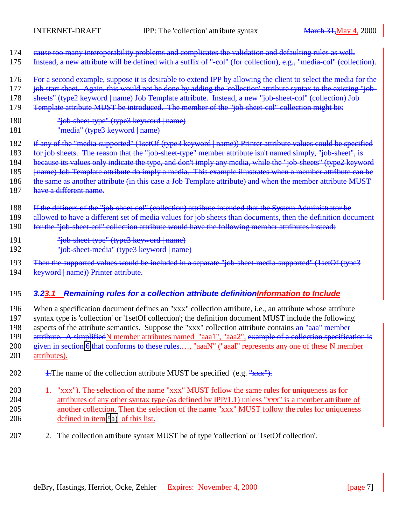- <span id="page-6-0"></span>174 eause too many interoperability problems and complicates the validation and defaulting rules as well.
- 175 Instead, a new attribute will be defined with a suffix of "-col" (for collection), e.g., "media-col" (collection).
- 176 For a second example, suppose it is desirable to extend IPP by allowing the client to select the media for the
- 177 job start sheet. Again, this would not be done by adding the 'collection' attribute syntax to the existing "job-
- 178 sheets" (type2 keyword | name) Job Template attribute. Instead, a new "job-sheet-col" (collection) Job
- 179 Template attribute MUST be introduced. The member of the "job-sheet-col" collection might be:
- 180 "job-sheet-type" (type3 keyword | name)
- 181 "media" (type3 keyword | name)
- 182 if any of the "media-supported" (1setOf (type3 keyword | name)) Printer attribute values could be specified
- 183 for job sheets. The reason that the "job-sheet-type" member attribute isn't named simply, "job-sheet", is
- 184 because its values only indicate the type, and don't imply any media, while the "job-sheets" (type2 keyword
- 185 |  $\mu$ ame) Job Template attribute do imply a media. This example illustrates when a member attribute can be
- 186 the same as another attribute (in this case a Job Template attribute) and when the member attribute MUST
- 187 have a different name.
- 188 If the definers of the "job-sheet-col" (collection) attribute intended that the System Administrator be
- 189 allowed to have a different set of media values for job sheets than documents, then the definition document
- 190 for the "job-sheet-col" collection attribute would have the following member attributes instead:
- 191 "job-sheet-type" (type3 keyword | name)
- 192 "job-sheet-media" (type3 keyword | name)
- 193 Then the supported values would be included in a separate "job-sheet-media-supported" (1setOf (type3 194 keyword | name)) Printer attribute.

# 195 *3.23.1 Remaining rules for a collection attribute definitionInformation to Include*

196 When a specification document defines an "xxx" collection attribute, i.e., an attribute whose attribute 197 syntax type is 'collection' or '1setOf collection'; the definition document MUST include the following 198 aspects of the attribute semantics. Suppose the "xxx" collection attribute contains an "aaa" member 199 attribute. A simplifiedN member attributes named "aaa1", "aaa2", example of a collection specification is 200 given in section [6](#page-13-0) that conforms to these rules..., "aaaN" ("aaaI" represents any one of these N member 201 attributes).

- 202 1. The name of the collection attribute MUST be specified (e.g.  $\frac{v_{\text{XXX}}}{v_{\text{MAX}}}$ ).
- 203 1. "xxx"). The selection of the name "xxx" MUST follow the same rules for uniqueness as for 204 attributes of any other syntax type (as defined by IPP/1.1) unless "xxx" is a member attribute of 205 another collection. Then the selection of the name "xxx" MUST follow the rules for uniqueness 206 defined in item [5a\)](#page-7-0) of this list.
- 207 2. The collection attribute syntax MUST be of type 'collection' or '1setOf collection'.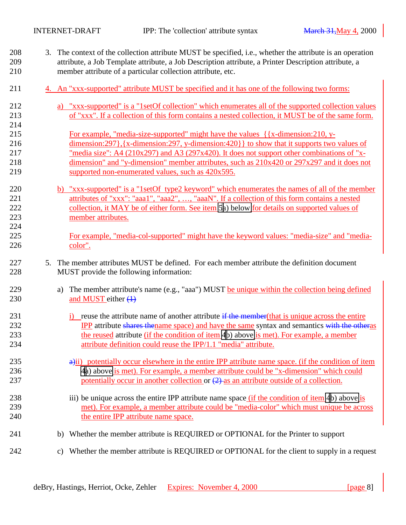<span id="page-7-0"></span>

| 208<br>209<br>210               |    | 3. The context of the collection attribute MUST be specified, i.e., whether the attribute is an operation<br>attribute, a Job Template attribute, a Job Description attribute, a Printer Description attribute, a<br>member attribute of a particular collection attribute, etc.                                                                                                                                                                        |  |  |  |
|---------------------------------|----|---------------------------------------------------------------------------------------------------------------------------------------------------------------------------------------------------------------------------------------------------------------------------------------------------------------------------------------------------------------------------------------------------------------------------------------------------------|--|--|--|
| 211                             |    | 4. An "xxx-supported" attribute MUST be specified and it has one of the following two forms:                                                                                                                                                                                                                                                                                                                                                            |  |  |  |
| 212<br>213<br>214               |    | a) "xxx-supported" is a "1setOf collection" which enumerates all of the supported collection values<br>of "xxx". If a collection of this form contains a nested collection, it MUST be of the same form.                                                                                                                                                                                                                                                |  |  |  |
| 215<br>216<br>217<br>218<br>219 |    | For example, "media-size-supported" might have the values $\{x$ -dimension:210, y-<br>$dimension: 297$ , $\{x\text{-dimension}: 297, y\text{-dimension}: 420\}$ to show that it supports two values of<br>"media size": A4 (210x297) and A3 (297x420). It does not support other combinations of "x-<br>dimension" and "y-dimension" member attributes, such as 210x420 or 297x297 and it does not<br>supported non-enumerated values, such as 420x595. |  |  |  |
| 220<br>221<br>222<br>223<br>224 |    | b) "xxx-supported" is a "1setOf type2 keyword" which enumerates the names of all of the member<br>attributes of "xxx": "aaa1", "aaa2", , "aaaN". If a collection of this form contains a nested<br>collection, it MAY be of either form. See item 5a) below for details on supported values of<br>member attributes.                                                                                                                                    |  |  |  |
| 225<br>226                      |    | For example, "media-col-supported" might have the keyword values: "media-size" and "media-<br>color".                                                                                                                                                                                                                                                                                                                                                   |  |  |  |
| 227<br>228                      | 5. | The member attributes MUST be defined. For each member attribute the definition document<br>MUST provide the following information:                                                                                                                                                                                                                                                                                                                     |  |  |  |
| 229<br>230                      |    | The member attribute's name (e.g., "aaa") MUST be unique within the collection being defined<br>a)<br>and MUST either $(1)$                                                                                                                                                                                                                                                                                                                             |  |  |  |
| 231<br>232<br>233<br>234        |    | reuse the attribute name of another attribute if the member (that is unique across the entire<br><b>IPP</b> attribute shares thename space) and have the same syntax and semantics with the otheras<br>the reused attribute (if the condition of item 4b) above is met). For example, a member<br>attribute definition could reuse the IPP/1.1 "media" attribute.                                                                                       |  |  |  |
| 235<br>236<br>237               |    | $\theta$ a)ii) potentially occur elsewhere in the entire IPP attribute name space. (if the condition of item<br>4a) above is met). For example, a member attribute could be "x-dimension" which could<br>potentially occur in another collection or $(2)$ as an attribute outside of a collection.                                                                                                                                                      |  |  |  |
| 238<br>239<br>240               |    | iii) be unique across the entire IPP attribute name space <i>(if the condition of item 4b)</i> above is<br>met). For example, a member attribute could be "media-color" which must unique be across<br>the entire IPP attribute name space.                                                                                                                                                                                                             |  |  |  |
| 241                             |    | Whether the member attribute is REQUIRED or OPTIONAL for the Printer to support<br>b)                                                                                                                                                                                                                                                                                                                                                                   |  |  |  |
| 242                             |    | Whether the member attribute is REQUIRED or OPTIONAL for the client to supply in a request<br>c)                                                                                                                                                                                                                                                                                                                                                        |  |  |  |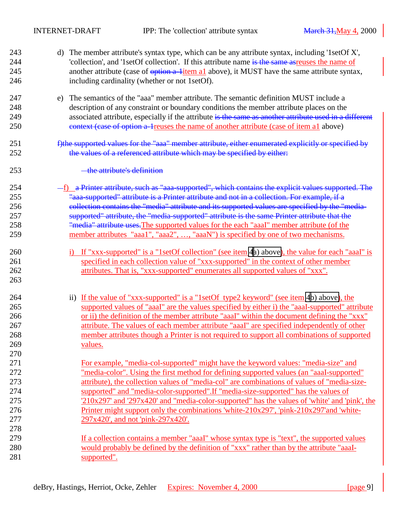<span id="page-8-0"></span>

| 243<br>244<br>245<br>246 | d) The member attribute's syntax type, which can be any attribute syntax, including '1setOf X',<br>'collection', and '1setOf collection'. If this attribute name is the same asreuses the name of<br>another attribute (case of option a-litem al above), it MUST have the same attribute syntax,<br>including cardinality (whether or not 1setOf).                                     |
|--------------------------|-----------------------------------------------------------------------------------------------------------------------------------------------------------------------------------------------------------------------------------------------------------------------------------------------------------------------------------------------------------------------------------------|
| 247<br>248<br>249<br>250 | e) The semantics of the "aaa" member attribute. The semantic definition MUST include a<br>description of any constraint or boundary conditions the member attribute places on the<br>associated attribute, especially if the attribute is the same as another attribute used in a different<br>context (case of option a 1 reuses the name of another attribute (case of item a1 above) |
| 251<br>252               | f)the supported values for the "aaa" member attribute, either enumerated explicitly or specified by<br>the values of a referenced attribute which may be specified by either:                                                                                                                                                                                                           |
| 253                      | - the attribute's definition                                                                                                                                                                                                                                                                                                                                                            |
| 254<br>255               | -f) a Printer attribute, such as "aaa-supported", which contains the explicit values supported. The<br>"aaa-supported" attribute is a Printer attribute and not in a collection. For example, if a                                                                                                                                                                                      |
| 256                      | eollection contains the "media" attribute and its supported values are specified by the "media-                                                                                                                                                                                                                                                                                         |
| 257                      | supported" attribute, the "media-supported" attribute is the same Printer attribute that the                                                                                                                                                                                                                                                                                            |
| 258                      | "media" attribute uses. The supported values for the each "aaaI" member attribute (of the                                                                                                                                                                                                                                                                                               |
| 259                      | member attributes "aaa1", "aaa2", , "aaaN") is specified by one of two mechanisms.                                                                                                                                                                                                                                                                                                      |
| 260<br>261               | i) If "xxx-supported" is a "1setOf collection" (see item 4a) above), the value for each "aaal" is<br>specified in each collection value of "xxx-supported" in the context of other member                                                                                                                                                                                               |
| 262<br>263               | attributes. That is, "xxx-supported" enumerates all supported values of "xxx".                                                                                                                                                                                                                                                                                                          |
| 264                      | ii) If the value of "xxx-supported" is a "1setOf type2 keyword" (see item 4b) above), the                                                                                                                                                                                                                                                                                               |
| 265                      | supported values of "aaaI" are the values specified by either i) the "aaaI-supported" attribute                                                                                                                                                                                                                                                                                         |
| 266<br>267               | or ii) the definition of the member attribute "aaaI" within the document defining the "xxx"<br>attribute. The values of each member attribute "aaaI" are specified independently of other                                                                                                                                                                                               |
| 268                      | member attributes though a Printer is not required to support all combinations of supported                                                                                                                                                                                                                                                                                             |
| 269                      | values.                                                                                                                                                                                                                                                                                                                                                                                 |
| 270                      |                                                                                                                                                                                                                                                                                                                                                                                         |
| 271                      | For example, "media-col-supported" might have the keyword values: "media-size" and                                                                                                                                                                                                                                                                                                      |
| 272                      | "media-color". Using the first method for defining supported values (an "aaal-supported"                                                                                                                                                                                                                                                                                                |
| 273                      | attribute), the collection values of "media-col" are combinations of values of "media-size-                                                                                                                                                                                                                                                                                             |
| 274                      | supported" and "media-color-supported". If "media-size-supported" has the values of                                                                                                                                                                                                                                                                                                     |
| 275                      | 210x297' and '297x420' and "media-color-supported" has the values of 'white' and 'pink', the                                                                                                                                                                                                                                                                                            |
| 276                      | Printer might support only the combinations 'white- $210x297'$ , 'pink- $210x297'$ 'and 'white-                                                                                                                                                                                                                                                                                         |
| 277                      | 297x420', and not 'pink-297x420'.                                                                                                                                                                                                                                                                                                                                                       |
| 278                      |                                                                                                                                                                                                                                                                                                                                                                                         |
| 279                      | If a collection contains a member "aaal" whose syntax type is "text", the supported values                                                                                                                                                                                                                                                                                              |
| 280                      | would probably be defined by the definition of "xxx" rather than by the attribute "aaaI-                                                                                                                                                                                                                                                                                                |
| 281                      | supported".                                                                                                                                                                                                                                                                                                                                                                             |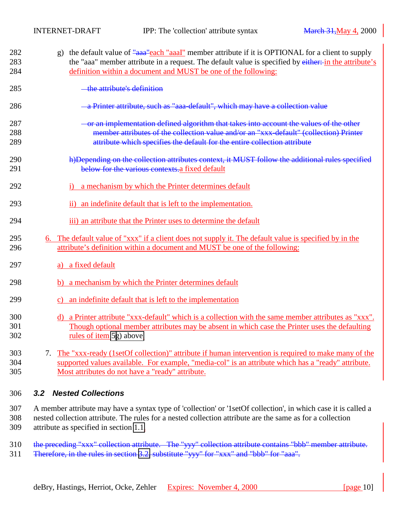<span id="page-9-0"></span>

| 282<br>283<br>284 | the default value of "assay" each "assay" member attribute if it is OPTIONAL for a client to supply<br>$\mathbf{g}$ )<br>the "aaa" member attribute in a request. The default value is specified by either: in the attribute's<br>definition within a document and MUST be one of the following: |
|-------------------|--------------------------------------------------------------------------------------------------------------------------------------------------------------------------------------------------------------------------------------------------------------------------------------------------|
| 285               | the attribute's definition                                                                                                                                                                                                                                                                       |
| 286               | a Printer attribute, such as "aaa-default", which may have a collection value                                                                                                                                                                                                                    |
| 287<br>288<br>289 | - or an implementation defined algorithm that takes into account the values of the other<br>member attributes of the collection value and/or an "xxx-default" (collection) Printer<br>attribute which specifies the default for the entire collection attribute                                  |
| 290<br>291        | h)Depending on the collection attributes context, it MUST follow the additional rules specified<br>below for the various contexts.a fixed default                                                                                                                                                |
| 292               | a mechanism by which the Printer determines default                                                                                                                                                                                                                                              |
| 293               | an indefinite default that is left to the implementation.<br>$\mathbf{ii}$                                                                                                                                                                                                                       |
| 294               | iii) an attribute that the Printer uses to determine the default                                                                                                                                                                                                                                 |
| 295<br>296        | 6. The default value of "xxx" if a client does not supply it. The default value is specified by in the<br>attribute's definition within a document and MUST be one of the following:                                                                                                             |
| 297               | a) a fixed default                                                                                                                                                                                                                                                                               |
| 298               | a mechanism by which the Printer determines default<br>b)                                                                                                                                                                                                                                        |
| 299               | an indefinite default that is left to the implementation<br>$\mathbf{c})$                                                                                                                                                                                                                        |
| 300<br>301<br>302 | d) a Printer attribute "xxx-default" which is a collection with the same member attributes as "xxx".<br>Though optional member attributes may be absent in which case the Printer uses the defaulting<br>rules of item 5g) above.                                                                |
| 303<br>304<br>305 | The "xxx-ready (1setOf collection)" attribute if human intervention is required to make many of the<br>7.<br>supported values available. For example, "media-col" is an attribute which has a "ready" attribute.<br>Most attributes do not have a "ready" attribute.                             |

### 306 *3.2 Nested Collections*

307 A member attribute may have a syntax type of 'collection' or '1setOf collection', in which case it is called a 308 nested collection attribute. The rules for a nested collection attribute are the same as for a collection 309 attribute as specified in section [1.1.](#page-6-0)

310 the preceding "xxx" collection attribute. The "yyy" collection attribute contains "bbb" member attribute.

311 Therefore, in the rules in section [3.2,](#page-6-0) substitute "yyy" for "xxx" and "bbb" for "aaa".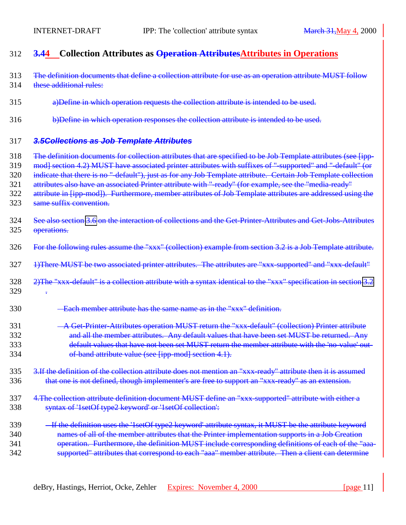<span id="page-10-0"></span>

| 312                                    | <b>3.44</b> Collection Attributes as <b>Operation Attributes</b> Attributes in Operations                                                                                                                                                                                                                                                                                                                                                                                                                                                                                                        |
|----------------------------------------|--------------------------------------------------------------------------------------------------------------------------------------------------------------------------------------------------------------------------------------------------------------------------------------------------------------------------------------------------------------------------------------------------------------------------------------------------------------------------------------------------------------------------------------------------------------------------------------------------|
| 313<br>314                             | The definition documents that define a collection attribute for use as an operation attribute MUST follow<br>these additional rules:                                                                                                                                                                                                                                                                                                                                                                                                                                                             |
| 315                                    | a) Define in which operation requests the collection attribute is intended to be used.                                                                                                                                                                                                                                                                                                                                                                                                                                                                                                           |
| 316                                    | b)Define in which operation responses the collection attribute is intended to be used.                                                                                                                                                                                                                                                                                                                                                                                                                                                                                                           |
| 317                                    | 3.5 Collections as Job Template Attributes                                                                                                                                                                                                                                                                                                                                                                                                                                                                                                                                                       |
| 318<br>319<br>320<br>321<br>322<br>323 | The definition documents for collection attributes that are specified to be Job Template attributes (see [ipp-<br>mod] section 4.2) MUST have associated printer attributes with suffixes of "supported" and "-default" (or<br>indicate that there is no "-default"), just as for any Job Template attribute. Certain Job Template collection<br>attributes also have an associated Printer attribute with "-ready" (for example, see the "media-ready"<br>attribute in [ipp-mod]). Furthermore, member attributes of Job Template attributes are addressed using the<br>same suffix convention. |
| 324<br>325                             | See also section 3.6 on the interaction of collections and the Get Printer Attributes and Get Jobs Attributes<br>operations.                                                                                                                                                                                                                                                                                                                                                                                                                                                                     |
| 326                                    | For the following rules assume the "xxx" (collection) example from section 3.2 is a Job Template attribute.                                                                                                                                                                                                                                                                                                                                                                                                                                                                                      |
| 327                                    | 1) There MUST be two associated printer attributes. The attributes are "xxx-supported" and "xxx-default"                                                                                                                                                                                                                                                                                                                                                                                                                                                                                         |
| 328<br>329                             | 2) The "xxx default" is a collection attribute with a syntax identical to the "xxx" specification in section 3.2                                                                                                                                                                                                                                                                                                                                                                                                                                                                                 |
| 330                                    | - Each member attribute has the same name as in the "xxx" definition.                                                                                                                                                                                                                                                                                                                                                                                                                                                                                                                            |
| 331<br>332<br>333<br>334               | - A Get-Printer-Attributes operation MUST return the "xxx-default" (collection) Printer attribute<br>and all the member attributes. Any default values that have been set MUST be returned. Any<br>default values that have not been set MUST return the member attribute with the 'no-value' out<br>of-band attribute value (see [ipp-mod] section 4.1).                                                                                                                                                                                                                                        |
| 335<br>336                             | 3. If the definition of the collection attribute does not mention an "xxx-ready" attribute then it is assumed<br>that one is not defined, though implementer's are free to support an "xxx-ready" as an extension.                                                                                                                                                                                                                                                                                                                                                                               |
| 337<br>338                             | 4. The collection attribute definition document MUST define an "xxx-supported" attribute with either a<br>syntax of '1setOf type2 keyword' or '1setOf collection':                                                                                                                                                                                                                                                                                                                                                                                                                               |
| 339<br>340<br>341<br>342               | - If the definition uses the '1setOf type2 keyword' attribute syntax, it MUST be the attribute keyword<br>names of all of the member attributes that the Printer implementation supports in a Job Creation<br>operation. Furthermore, the definition MUST include corresponding definitions of each of the "aaa-<br>supported" attributes that correspond to each "aaa" member attribute. Then a client can determine                                                                                                                                                                            |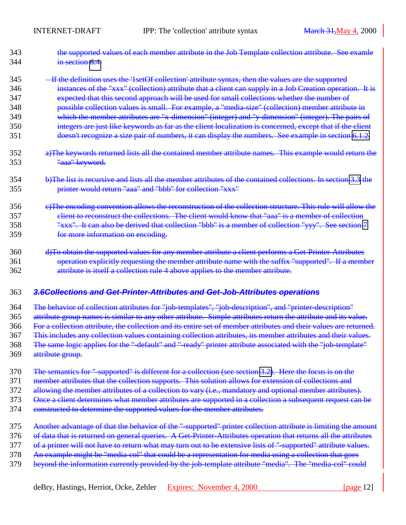<span id="page-11-0"></span>

| 343 | the supported values of each member attribute in the Job Template collection attribute. See examle |
|-----|----------------------------------------------------------------------------------------------------|
| 344 | in section 6.4.                                                                                    |

345 **If the definition uses the '1setOf collection' attribute syntax, then the values are the supported** 

- 346 instances of the "xxx" (collection) attribute that a client can supply in a Job Creation operation. It is
- 347 expected that this second approach will be used for small collections whether the number of
- 348 possible collection values is small. For example, a "media-size" (collection) member attribute in
- 349 which the member attributes are "x-dimension" (integer) and "y-dimension" (integer). The pairs of
- 350 integers are just like keywords as far as the client localization is concerned, except that if the client 351 doesn't recognize a size pair of numbers, it can display the numbers. See example in section [6.1.2.](#page-14-0)
- 352 a)The keywords returned lists all the contained member attribute names. This example would return the 353 "aaa" keyword.
- 354 b)The list is recursive and lists all the member attributes of the contained collections. In section [3.3](#page-9-0) the 355 printer would return "aaa" and "bbb" for collection "xxx"
- 356 e)The encoding convention allows the reconstruction of the collection structure. This rule will allow the 357 client to reconstruct the collections. The client would know that "aaa" is a member of collection 358 "xxx". It can also be derived that collection "bbb" is a member of collection "yyy". See section [7](#page-16-0) 359 for more information on encoding.
- 360 d)To obtain the supported values for any member attribute a client performs a Get-Printer-Attributes 361 operation explicitly requesting the member attribute name with the suffix "supported". If a member 362 attribute is itself a collection rule 4 above applies to the member attribute.

#### 363 *3.6Collections and Get-Printer-Attributes and Get-Job-Attributes operations*

- 364 The behavior of collection attributes for "job-templates", "job-description", and "printer-description"
- 365 attribute group names is similar to any other attribute. Simple attributes return the attribute and its value.
- 366 For a collection attribute, the collection and its entire set of member attributes and their values are returned.
- 367 This includes any collection values containing collection attributes, its member attributes and their values.
- 368 The same logic applies for the "-default" and "-ready" printer attribute associated with the "job-template"
- 369 attribute group.
- 370 The semantics for "-supported" is different for a collection (see section [3.2\)](#page-6-0). Here the focus is on the
- 371 member attributes that the collection supports. This solution allows for extension of collections and
- 372 allowing the member attributes of a collection to vary (i.e., mandatory and optional member attributes).
- 373 Once a client determines what member attributes are supported in a collection a subsequent request can be
- 374 constructed to determine the supported values for the member attributes.
- 375 Another advantage of that the behavior of the "supported" printer collection attribute is limiting the amount
- 376 of data that is returned on general queries. A Get-Printer-Attributes operation that returns all the attributes
- 377 of a printer will not have to return what may turn out to be extensive lists of "-supported" attribute values.
- 378 An example might be "media-col" that could be a representation for media using a collection that goes
- 379 beyond the information currently provided by the job-template attribute "media". The "media-col" could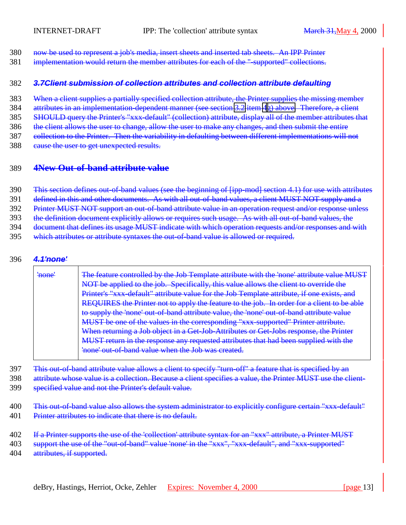- <span id="page-12-0"></span>380 now be used to represent a job's media, insert sheets and inserted tab sheets. An IPP Printer
- 381 implementation would return the member attributes for each of the "-supported" collections.

#### 382 *3.7Client submission of collection attributes and collection attribute defaulting*

383 When a client supplies a partially specified collection attribute, the Printer supplies the missing member

384 attributes in an implementation-dependent manner (see section [3.2](#page-6-0) item [4](#page-7-0)[g\) above.](#page-9-0) Therefore, a client 385 SHOULD query the Printer's "xxx-default" (collection) attribute, display all of the member attributes that

386 the client allows the user to change, allow the user to make any changes, and then submit the entire

387 collection to the Printer. Then the variability in defaulting between different implementations will not

388 eause the user to get unexpected results.

### 389 **4New Out-of-band attribute value**

390 This section defines out-of-band values (see the beginning of [ipp-mod] section 4.1) for use with attributes

391 defined in this and other documents. As with all out-of-band values, a client MUST NOT supply and a

392 Printer MUST NOT support an out-of-band attribute value in an operation request and/or response unless

393 the definition document explicitly allows or requires such usage. As with all out-of-band values, the

394 document that defines its usage MUST indicate with which operation requests and/or responses and with

395 which attributes or attribute syntaxes the out-of-band value is allowed or required.

#### 396 *4.1'none'*

| ' <del>none'</del> | The feature controlled by the Job Template attribute with the 'none' attribute value MUST         |
|--------------------|---------------------------------------------------------------------------------------------------|
|                    | NOT be applied to the job. Specifically, this value allows the client to override the             |
|                    | Printer's "xxx-default" attribute value for the Job Template attribute, if one exists, and        |
|                    | <b>REQUIRES</b> the Printer not to apply the feature to the job. In order for a client to be able |
|                    | to supply the 'none' out-of-band attribute value, the 'none' out-of-band attribute value          |
|                    | MUST be one of the values in the corresponding "xxx-supported" Printer attribute.                 |
|                    | When returning a Job object in a Get-Job-Attributes or Get-Jobs response, the Printer             |
|                    | MUST return in the response any requested attributes that had been supplied with the              |
|                    | <u>roue' out-of-band value when the Job was created</u>                                           |
|                    |                                                                                                   |

397 This out-of-band attribute value allows a client to specify "turn-off" a feature that is specified by an

398 attribute whose value is a collection. Because a client specifies a value, the Printer MUST use the client-

399 specified value and not the Printer's default value.

400 This out-of-band value also allows the system administrator to explicitly configure certain "xxx-default" 401 Printer attributes to indicate that there is no default.

402 If a Printer supports the use of the 'collection' attribute syntax for an "xxx" attribute, a Printer MUST

403 support the use of the "out-of-band" value 'none' in the "xxx", "xxx-default", and "xxx-supported"

404 attributes, if supported.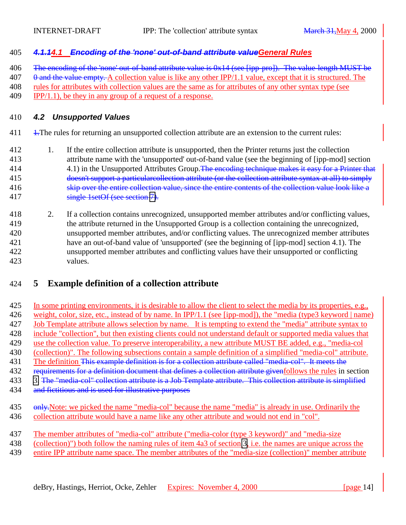### <span id="page-13-0"></span>*4.1.14.1 Encoding of the 'none' out-of-band attribute valueGeneral Rules*

406 The encoding of the 'none' out-of-band attribute value is 0x14 (see [ipp-pro]). The value-length MUST be

0 and the value empty. A collection value is like any other IPP/1.1 value, except that it is structured. The

rules for attributes with collection values are the same as for attributes of any other syntax type (see

409 IPP/1.1), be they in any group of a request of a response.

#### *4.2 Unsupported Values*

411 <del>1.</del>The rules for returning an unsupported collection attribute are an extension to the current rules:

- 1. If the entire collection attribute is unsupported, then the Printer returns just the collection attribute name with the 'unsupported' out-of-band value (see the beginning of [ipp-mod] section 4.1) in the Unsupported Attributes Group. The encoding technique makes it easy for a Printer that doesn't support a particularcollection attribute (or the collection attribute syntax at all) to simply 416 skip over the entire collection value, since the entire contents of the collection value look like a single 1setOf (see section [7\)](#page-16-0).
- 2. If a collection contains unrecognized, unsupported member attributes and/or conflicting values, the attribute returned in the Unsupported Group is a collection containing the unrecognized, unsupported member attributes, and/or conflicting values. The unrecognized member attributes have an out-of-band value of 'unsupported' (see the beginning of [ipp-mod] section 4.1). The unsupported member attributes and conflicting values have their unsupported or conflicting values.

# **5 Example definition of a collection attribute**

- In some printing environments, it is desirable to allow the client to select the media by its properties, e.g., 426 weight, color, size, etc., instead of by name. In IPP/1.1 (see [ipp-mod]), the "media (type3 keyword | name) Job Template attribute allows selection by name. It is tempting to extend the "media" attribute syntax to include "collection", but then existing clients could not understand default or supported media values that 429 use the collection value. To preserve interoperability, a new attribute MUST BE added, e.g., "media-col (collection)". The following subsections contain a sample definition of a simplified "media-col" attribute. 431 The definition <del>This example definition is for a collection attribute called "media-col". It meets the</del> 432 requirements for a definition document that defines a collection attribute givenfollows the rules in section [3.](#page-5-0) The "media-col" collection attribute is a Job Template attribute. This collection attribute is simplified 434 and fictitious and is used for illustrative purposes
- 435 only. Note: we picked the name "media-col" because the name "media" is already in use. Ordinarily the collection attribute would have a name like any other attribute and would not end in "col".
- The member attributes of "media-col" attribute ("media-color (type 3 keyword)" and "media-size
- (collection)") both follow the naming rules of item 4a3 of section [3,](#page-5-0) i.e. the names are unique across the
- 439 entire IPP attribute name space. The member attributes of the "media-size (collection)" member attribute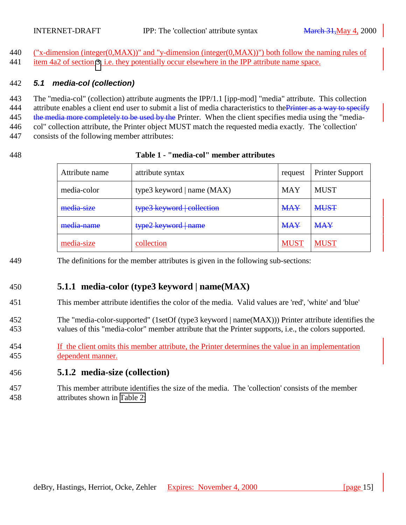<span id="page-14-0"></span>440 ("x-dimension (integer(0,MAX))" and "y-dimension (integer(0,MAX))") both follow the naming rules of item 4a2 of section [3,](#page-5-0) i.e. they potentially occur elsewhere in the IPP attribute name space.

#### *5.1 media-col (collection)*

 The "media-col" (collection) attribute augments the IPP/1.1 [ipp-mod] "media" attribute. This collection 444 attribute enables a client end user to submit a list of media characteristics to the Printer as a way to specify 445 the media more completely to be used by the Printer. When the client specifies media using the "media- col" collection attribute, the Printer object MUST match the requested media exactly. The 'collection' consists of the following member attributes:

#### **Table 1 - "media-col" member attributes**

| Attribute name | attribute syntax             | request     | <b>Printer Support</b> |
|----------------|------------------------------|-------------|------------------------|
| media-color    | type3 keyword   name $(MAX)$ | <b>MAY</b>  | <b>MUST</b>            |
| media size     | type3 keyword collection     | <b>MAY</b>  | <b>MUST</b>            |
| media-name     | type2 keyword   name         | <b>MAY</b>  | <b>MAY</b>             |
| media-size     | collection                   | <b>MUST</b> | <b>MUST</b>            |

The definitions for the member attributes is given in the following sub-sections:

# **5.1.1 media-color (type3 keyword | name(MAX)**

This member attribute identifies the color of the media. Valid values are 'red', 'white' and 'blue'

 The "media-color-supported" (1setOf (type3 keyword | name(MAX))) Printer attribute identifies the values of this "media-color" member attribute that the Printer supports, i.e., the colors supported.

 If the client omits this member attribute, the Printer determines the value in an implementation dependent manner.

### **5.1.2 media-size (collection)**

 This member attribute identifies the size of the media. The 'collection' consists of the member attributes shown in [Table 2:](#page-15-0)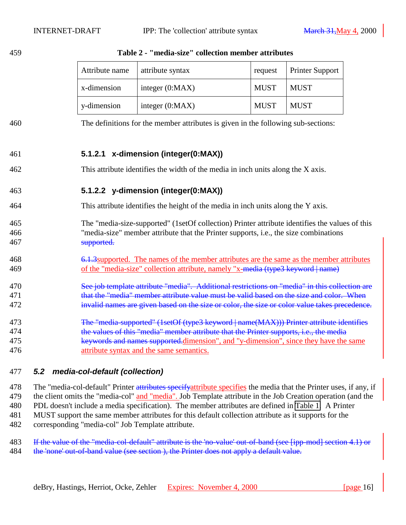|                          | Attribute name                                                                                                                                                                                                                                                                                                        | attribute syntax                                                                                                                                                                       | request     | <b>Printer Support</b> |  |
|--------------------------|-----------------------------------------------------------------------------------------------------------------------------------------------------------------------------------------------------------------------------------------------------------------------------------------------------------------------|----------------------------------------------------------------------------------------------------------------------------------------------------------------------------------------|-------------|------------------------|--|
|                          | x-dimension                                                                                                                                                                                                                                                                                                           | integer $(0:MAX)$                                                                                                                                                                      | <b>MUST</b> | <b>MUST</b>            |  |
|                          | y-dimension                                                                                                                                                                                                                                                                                                           | integer $(0:MAX)$                                                                                                                                                                      | <b>MUST</b> | <b>MUST</b>            |  |
| 460                      |                                                                                                                                                                                                                                                                                                                       | The definitions for the member attributes is given in the following sub-sections:                                                                                                      |             |                        |  |
| 461                      |                                                                                                                                                                                                                                                                                                                       | 5.1.2.1 x-dimension (integer(0:MAX))                                                                                                                                                   |             |                        |  |
| 462                      |                                                                                                                                                                                                                                                                                                                       | This attribute identifies the width of the media in inch units along the X axis.                                                                                                       |             |                        |  |
| 463                      | 5.1.2.2 y-dimension (integer(0:MAX))                                                                                                                                                                                                                                                                                  |                                                                                                                                                                                        |             |                        |  |
| 464                      |                                                                                                                                                                                                                                                                                                                       | This attribute identifies the height of the media in inch units along the Y axis.                                                                                                      |             |                        |  |
| 465<br>466<br>467        | supported.                                                                                                                                                                                                                                                                                                            | The "media-size-supported" (1setOf collection) Printer attribute identifies the values of this<br>"media-size" member attribute that the Printer supports, i.e., the size combinations |             |                        |  |
| 468<br>469               | 6.1.3 supported. The names of the member attributes are the same as the member attributes<br>of the "media-size" collection attribute, namely "x-media (type3 keyword   name)                                                                                                                                         |                                                                                                                                                                                        |             |                        |  |
| 470<br>471<br>472        | See job template attribute "media". Additional restrictions on "media" in this collection are<br>that the "media" member attribute value must be valid based on the size and color. When<br>invalid names are given based on the size or color, the size or color value takes precedence.                             |                                                                                                                                                                                        |             |                        |  |
| 473<br>474<br>475<br>476 | The "media-supported" (1setOf (type3 keyword   name(MAX))) Printer attribute identifies<br>the values of this "media" member attribute that the Printer supports, i.e., the media<br>keywords and names supported.dimension", and "y-dimension", since they have the same<br>attribute syntax and the same semantics. |                                                                                                                                                                                        |             |                        |  |

#### <span id="page-15-0"></span>**Table 2 - "media-size" collection member attributes**

### *5.2 media-col-default (collection)*

478 The "media-col-default" Printer attributes specify attribute specifies the media that the Printer uses, if any, if 479 the client omits the "media-col" and "media". Job Template attribute in the Job Creation operation (and the PDL doesn't include a media specification). The member attributes are defined in [Table 1.](#page-14-0) A Printer MUST support the same member attributes for this default collection attribute as it supports for the corresponding "media-col" Job Template attribute.

483 If the value of the "media-col-default" attribute is the 'no-value' out-of-band (see [ipp-mod] section 4.1) or 484 the 'none' out-of-band value (see section), the Printer does not apply a default value.

deBry, Hastings, Herriot, Ocke, Zehler Expires: November 4, 2000 [page 16]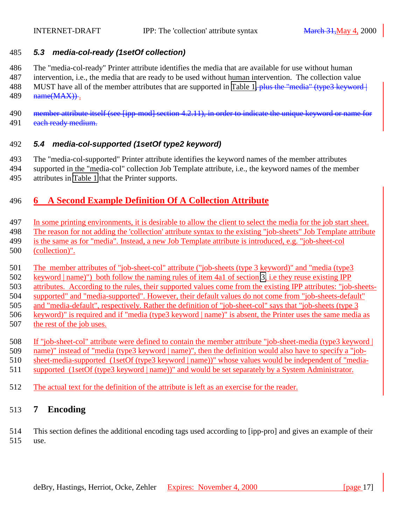### <span id="page-16-0"></span>*5.3 media-col-ready (1setOf collection)*

The "media-col-ready" Printer attribute identifies the media that are available for use without human

- intervention, i.e., the media that are ready to be used without human intervention. The collection value 488 MUST have all of the member attributes that are supported in [Table 1,](#page-14-0) plus the "media" (type3 keyword | **name**(MAX).
- 490 member attribute itself (see [ipp-mod] section 4.2.11), in order to indicate the unique keyword or name for 491 each ready medium.

### *5.4 media-col-supported (1setOf type2 keyword)*

 The "media-col-supported" Printer attribute identifies the keyword names of the member attributes supported in the "media-col" collection Job Template attribute, i.e., the keyword names of the member attributes in [Table 1](#page-14-0) that the Printer supports.

# **6 A Second Example Definition Of A Collection Attribute**

- In some printing environments, it is desirable to allow the client to select the media for the job start sheet.
- The reason for not adding the 'collection' attribute syntax to the existing "job-sheets" Job Template attribute
- is the same as for "media". Instead, a new Job Template attribute is introduced, e.g. "job-sheet-col
- (collection)".
- The member attributes of "job-sheet-col" attribute ("job-sheets (type 3 keyword)" and "media (type3
- keyword | name)") both follow the naming rules of item 4a1 of section [3,](#page-5-0) i.e they reuse existing IPP
- attributes. According to the rules, their supported values come from the existing IPP attributes: "job-sheets-
- supported" and "media-supported". However, their default values do not come from "job-sheets-default"
- and "media-default", respectively. Rather the definition of "job-sheet-col" says that "job-sheets (type 3
- keyword)" is required and if "media (type3 keyword | name)" is absent, the Printer uses the same media as
- the rest of the job uses.
- If "job-sheet-col" attribute were defined to contain the member attribute "job-sheet-media (type3 keyword |
- name)" instead of "media (type3 keyword | name)", then the definition would also have to specify a "job-
- sheet-media-supported (1setOf (type3 keyword | name))" whose values would be independent of "media-
- supported (1setOf (type3 keyword | name))" and would be set separately by a System Administrator.
- The actual text for the definition of the attribute is left as an exercise for the reader.

# **7 Encoding**

 This section defines the additional encoding tags used according to [ipp-pro] and gives an example of their use.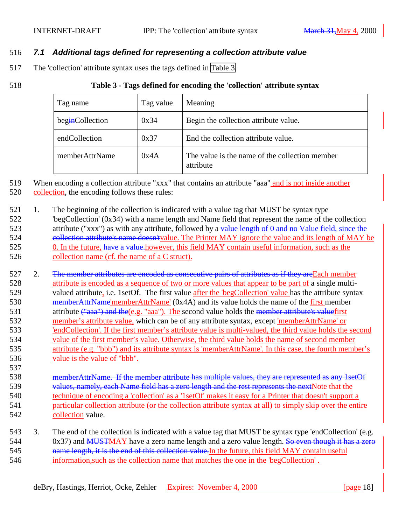### <span id="page-17-0"></span>516 *7.1 Additional tags defined for representing a collection attribute value*

517 The 'collection' attribute syntax uses the tags defined in Table 3.

537

#### 518 **Table 3 - Tags defined for encoding the 'collection' attribute syntax**

| Tag name        | Tag value | Meaning                                                     |
|-----------------|-----------|-------------------------------------------------------------|
| beginCollection | 0x34      | Begin the collection attribute value.                       |
| endCollection   | 0x37      | End the collection attribute value.                         |
| memberAttrName  | 0x4A      | The value is the name of the collection member<br>attribute |

519 When encoding a collection attribute "xxx" that contains an attribute "aaa" and is not inside another

520 collection, the encoding follows these rules:

521 1. The beginning of the collection is indicated with a value tag that MUST be syntax type 522 'begCollection' (0x34) with a name length and Name field that represent the name of the collection 523 attribute ("xxx") as with any attribute, followed by a value length of 0 and no Value field, since the 524 collection attribute's name doesn't value. The Printer MAY ignore the value and its length of MAY be 525 0. In the future, have a value-however, this field MAY contain useful information, such as the 526 collection name (cf. the name of a C struct).

527 2. The member attributes are encoded as consecutive pairs of attributes as if they are Each member attribute is encoded as a sequence of two or more values that appear to be part of a single multi- valued attribute, i.e. 1setOf. The first value after the 'begCollection' value has the attribute syntax 530 memberAttrName'memberAttrName' (0x4A) and its value holds the name of the first member 531 attribute  $\left(\frac{v_{\text{aaa}}}{v_{\text{aaaa}}}\right)$  and the (e.g. "aaa"). The second value holds the member attribute's valuefirst member's attribute value, which can be of any attribute syntax, except 'memberAttrName' or 'endCollection'. If the first member's attribute value is multi-valued, the third value holds the second value of the first member's value. Otherwise, the third value holds the name of second member attribute (e.g. "bbb") and its attribute syntax is 'memberAttrName'. In this case, the fourth member's value is the value of "bbb".

 memberAttrName. If the member attribute has multiple values, they are represented as any 1setOf 539 values, namely, each Name field has a zero length and the rest represents the nextNote that the technique of encoding a 'collection' as a '1setOf' makes it easy for a Printer that doesn't support a particular collection attribute (or the collection attribute syntax at all) to simply skip over the entire collection value.

543 3. The end of the collection is indicated with a value tag that MUST be syntax type 'endCollection' (e.g. 544 0x37) and MUSTMAY have a zero name length and a zero value length. So even though it has a zero 545 hame length, it is the end of this collection value. In the future, this field MAY contain useful 546 information,such as the collection name that matches the one in the 'begCollection' .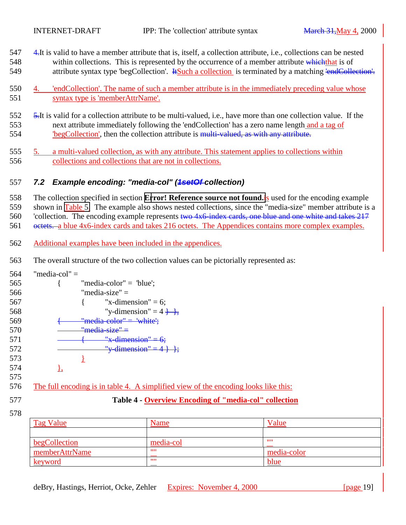- <span id="page-18-0"></span>547 4.It is valid to have a member attribute that is, itself, a collection attribute, i.e., collections can be nested 548 within collections. This is represented by the occurrence of a member attribute which that is of 549 attribute syntax type 'begCollection'. Hence a collection is terminated by a matching 'endCollection'.
- 550 4. 'endCollection'. The name of such a member attribute is in the immediately preceding value whose 551 syntax type is 'memberAttrName'.
- 552 5.It is valid for a collection attribute to be multi-valued, i.e., have more than one collection value. If the 553 next attribute immediately following the 'endCollection' has a zero name length and a tag of 554 'begCollection', then the collection attribute is multi-valued, as with any attribute.
- 555 5. a multi-valued collection, as with any attribute. This statement applies to collections within 556 collections and collections that are not in collections.

## 557 *7.2 Example encoding: "media-col" (1setOf collection)*

558 The collection specified in section **[Error! Reference source not found.](#page-14-0)**is used for the encoding example 559 shown in [Table 5.](#page-19-0) The example also shows nested collections, since the "media-size" member attribute is a 560 'collection. The encoding example represents two 4x6 index cards, one blue and one white and takes 217

- 561 octets. a blue 4x6-index cards and takes 216 octets. The Appendices contains more complex examples.
- 562 Additional examples have been included in the appendices.
- 563 The overall structure of the two collection values can be pictorially represented as:

| 564 | "media-col" $=$           |                                                                                     |       |
|-----|---------------------------|-------------------------------------------------------------------------------------|-------|
| 565 | "media-color" = $"blue';$ |                                                                                     |       |
| 566 | "media-size" $=$          |                                                                                     |       |
| 567 | "x-dimension" = 6;        |                                                                                     |       |
| 568 |                           | "y-dimension" = $4 + \frac{1}{2}$                                                   |       |
| 569 | "media-color" = 'white':  |                                                                                     |       |
| 570 | $"$ media-size" =         |                                                                                     |       |
| 571 | $"x$ -dimension" = 6;     |                                                                                     |       |
| 572 |                           | "y dimension" = $4 +$ ;                                                             |       |
| 573 |                           |                                                                                     |       |
| 574 | Δ,                        |                                                                                     |       |
| 575 |                           |                                                                                     |       |
| 576 |                           | The full encoding is in table 4. A simplified view of the encoding looks like this: |       |
| 577 |                           | Table 4 - Overview Encoding of "media-col" collection                               |       |
| 578 |                           |                                                                                     |       |
|     | <b>Tag Value</b>          | Name                                                                                | Value |

| <u>rag value</u> | Traille   | <b>v</b> alue |
|------------------|-----------|---------------|
|                  |           |               |
| begCollection    | media-col | - 11 11       |
| memberAttrName   | ,,,,      | media-color   |
| keyword          | ,,,,      | blue          |
|                  |           |               |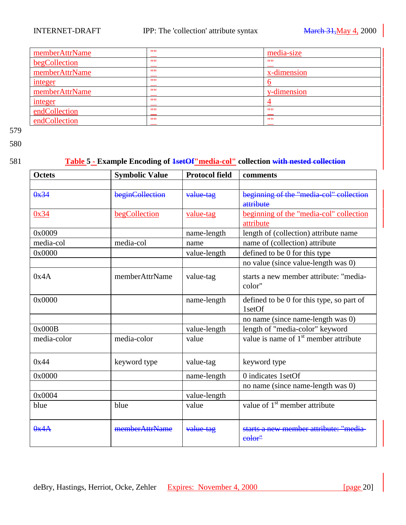<span id="page-19-0"></span>

| memberAttrName | 1111 | media-size  |
|----------------|------|-------------|
| begCollection  | 1111 | 1111        |
| memberAttrName | 1111 | x-dimension |
| integer        | 1111 |             |
| memberAttrName | 1111 | y-dimension |
| <u>integer</u> | 1111 |             |
| endCollection  | 1111 | - 11.11     |
| endCollection  | 1111 | 1111        |

580

## 581 **Table 5 - Example Encoding of 1setOf"media-col" collection with nested collection**

| <b>Octets</b> | <b>Symbolic Value</b> | <b>Protocol field</b> | comments                                          |
|---------------|-----------------------|-----------------------|---------------------------------------------------|
|               |                       |                       |                                                   |
| 0x34          | beginCollection       | value-tag             | beginning of the "media-col" collection           |
|               |                       |                       | attribute                                         |
| 0x34          | <b>begCollection</b>  | value-tag             | beginning of the "media-col" collection           |
|               |                       |                       | attribute                                         |
| 0x0009        |                       | name-length           | length of (collection) attribute name             |
| media-col     | media-col             | name                  | name of (collection) attribute                    |
| 0x0000        |                       | value-length          | defined to be 0 for this type                     |
|               |                       |                       | no value (since value-length was 0)               |
| 0x4A          | memberAttrName        | value-tag             | starts a new member attribute: "media-            |
|               |                       |                       | color"                                            |
| 0x0000        |                       | name-length           | defined to be 0 for this type, so part of         |
|               |                       |                       | 1setOf                                            |
|               |                       |                       | no name (since name-length was 0)                 |
| 0x000B        |                       | value-length          | length of "media-color" keyword                   |
| media-color   | media-color           | value                 | value is name of 1 <sup>st</sup> member attribute |
|               |                       |                       |                                                   |
| 0x44          | keyword type          | value-tag             | keyword type                                      |
| 0x0000        |                       | name-length           | 0 indicates 1 set Of                              |
|               |                       |                       | no name (since name-length was 0)                 |
| 0x0004        |                       | value-length          |                                                   |
| blue          | blue                  | value                 | value of 1 <sup>st</sup> member attribute         |
|               |                       |                       |                                                   |
| 0x4A          | memberAttrName        | value-tag             | starts a new member attribute: "media-            |
|               |                       |                       | eolor"                                            |
|               |                       |                       |                                                   |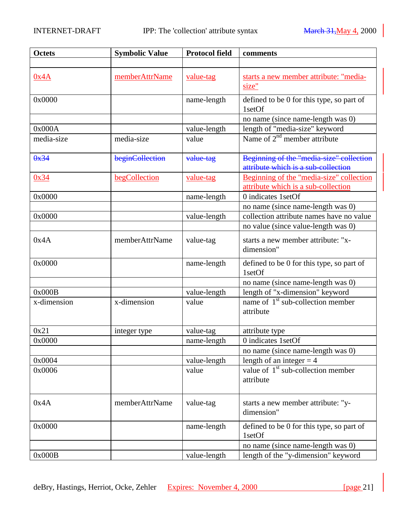| <b>Octets</b> | <b>Symbolic Value</b> | <b>Protocol field</b> | comments                                                                      |
|---------------|-----------------------|-----------------------|-------------------------------------------------------------------------------|
|               |                       |                       |                                                                               |
| 0x4A          | memberAttrName        | value-tag             | starts a new member attribute: "media-<br>size"                               |
|               |                       |                       |                                                                               |
| 0x0000        |                       | name-length           | defined to be 0 for this type, so part of<br>1setOf                           |
|               |                       |                       | no name (since name-length was 0)                                             |
| 0x000A        |                       | value-length          | length of "media-size" keyword                                                |
| media-size    | media-size            | value                 | Name of $2nd$ member attribute                                                |
| 0x34          | beginCollection       | value-tag             | Beginning of the "media size" collection                                      |
|               |                       |                       | attribute which is a sub-collection                                           |
| 0x34          | begCollection         | value-tag             | Beginning of the "media-size" collection                                      |
| 0x0000        |                       |                       | attribute which is a sub-collection<br>0 indicates 1setOf                     |
|               |                       | name-length           |                                                                               |
| 0x0000        |                       |                       | no name (since name-length was 0)<br>collection attribute names have no value |
|               |                       | value-length          |                                                                               |
|               |                       |                       | no value (since value-length was 0)                                           |
| 0x4A          | memberAttrName        | value-tag             | starts a new member attribute: "x-<br>dimension"                              |
| 0x0000        |                       | name-length           | defined to be 0 for this type, so part of                                     |
|               |                       |                       | 1setOf                                                                        |
|               |                       |                       | no name (since name-length was 0)                                             |
| 0x000B        |                       | value-length          | length of "x-dimension" keyword                                               |
| x-dimension   | x-dimension           | value                 | name of $1st$ sub-collection member                                           |
|               |                       |                       | attribute                                                                     |
| 0x21          | integer type          | value-tag             | attribute type                                                                |
| 0x0000        |                       | name-length           | 0 indicates 1setOf                                                            |
|               |                       |                       | no name (since name-length was 0)                                             |
| 0x0004        |                       | value-length          | length of an integer $=$ 4                                                    |
| 0x0006        |                       | value                 | value of $1st$ sub-collection member                                          |
|               |                       |                       | attribute                                                                     |
|               |                       |                       |                                                                               |
| 0x4A          | memberAttrName        | value-tag             | starts a new member attribute: "y-                                            |
|               |                       |                       | dimension"                                                                    |
| 0x0000        |                       | name-length           | defined to be 0 for this type, so part of                                     |
|               |                       |                       | 1setOf                                                                        |
|               |                       |                       | no name (since name-length was 0)                                             |
| 0x000B        |                       | value-length          | length of the "y-dimension" keyword                                           |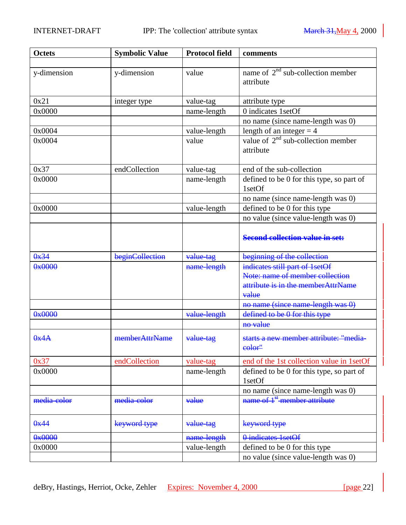| <b>Octets</b> | <b>Symbolic Value</b> | <b>Protocol field</b> | comments                                                                       |
|---------------|-----------------------|-----------------------|--------------------------------------------------------------------------------|
|               |                       |                       |                                                                                |
| y-dimension   | y-dimension           | value                 | name of $2nd$ sub-collection member<br>attribute                               |
| 0x21          | integer type          | value-tag             | attribute type                                                                 |
| 0x0000        |                       | name-length           | 0 indicates 1setOf                                                             |
|               |                       |                       | no name (since name-length was 0)                                              |
| 0x0004        |                       | value-length          | length of an integer $=$ 4                                                     |
| 0x0004        |                       | value                 | value of $2nd$ sub-collection member<br>attribute                              |
| 0x37          | endCollection         | value-tag             | end of the sub-collection                                                      |
| 0x0000        |                       | name-length           | defined to be 0 for this type, so part of<br>1setOf                            |
|               |                       |                       | no name (since name-length was 0)                                              |
| 0x0000        |                       | value-length          | defined to be 0 for this type                                                  |
|               |                       |                       | no value (since value-length was 0)                                            |
|               |                       |                       | <b>Second collection value in set:</b>                                         |
| 0x34          | beginCollection       | value-tag             | beginning of the collection                                                    |
| 0x0000        |                       | name-length           | indicates still part of 1setOf                                                 |
|               |                       |                       | Note: name of member collection<br>attribute is in the memberAttrName<br>value |
|               |                       |                       | no name (since name-length was 0)                                              |
| 0x0000        |                       | value-length          | defined to be 0 for this type                                                  |
|               |                       |                       | no value                                                                       |
| 0x4A          | memberAttrName        | value-tag             | starts a new member attribute: "media-<br>eolor"                               |
| 0x37          | endCollection         | value-tag             | end of the 1st collection value in 1setOf                                      |
| 0x0000        |                       | name-length           | defined to be 0 for this type, so part of<br>1setOf                            |
|               |                       |                       | no name (since name-length was 0)                                              |
| media-color   | media-color           | value                 | name of 1 <sup>st</sup> -member attribute                                      |
| 0x44          | keyword type          | value-tag             | keyword type                                                                   |
| 0x0000        |                       | name-length           | 0 indicates 1 set Of                                                           |
| 0x0000        |                       | value-length          | defined to be 0 for this type                                                  |
|               |                       |                       | no value (since value-length was 0)                                            |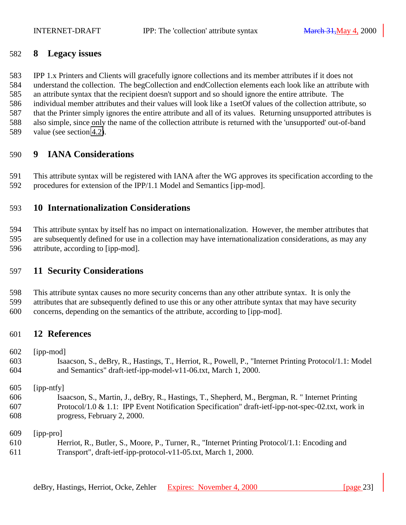## <span id="page-22-0"></span>**8 Legacy issues**

 IPP 1.x Printers and Clients will gracefully ignore collections and its member attributes if it does not understand the collection. The begCollection and endCollection elements each look like an attribute with an attribute syntax that the recipient doesn't support and so should ignore the entire attribute. The individual member attributes and their values will look like a 1setOf values of the collection attribute, so that the Printer simply ignores the entire attribute and all of its values. Returning unsupported attributes is also simple, since only the name of the collection attribute is returned with the 'unsupported' out-of-band value (see section [4.2\)](#page-13-0).

# **9 IANA Considerations**

 This attribute syntax will be registered with IANA after the WG approves its specification according to the procedures for extension of the IPP/1.1 Model and Semantics [ipp-mod].

# **10 Internationalization Considerations**

 This attribute syntax by itself has no impact on internationalization. However, the member attributes that are subsequently defined for use in a collection may have internationalization considerations, as may any attribute, according to [ipp-mod].

# **11 Security Considerations**

 This attribute syntax causes no more security concerns than any other attribute syntax. It is only the attributes that are subsequently defined to use this or any other attribute syntax that may have security concerns, depending on the semantics of the attribute, according to [ipp-mod].

# **12 References**

[ipp-mod]

- Isaacson, S., deBry, R., Hastings, T., Herriot, R., Powell, P., "Internet Printing Protocol/1.1: Model and Semantics" draft-ietf-ipp-model-v11-06.txt, March 1, 2000.
- [ipp-ntfy]
- Isaacson, S., Martin, J., deBry, R., Hastings, T., Shepherd, M., Bergman, R. " Internet Printing Protocol/1.0 & 1.1: IPP Event Notification Specification" draft-ietf-ipp-not-spec-02.txt, work in progress, February 2, 2000.

[ipp-pro]

 Herriot, R., Butler, S., Moore, P., Turner, R., "Internet Printing Protocol/1.1: Encoding and Transport", draft-ietf-ipp-protocol-v11-05.txt, March 1, 2000.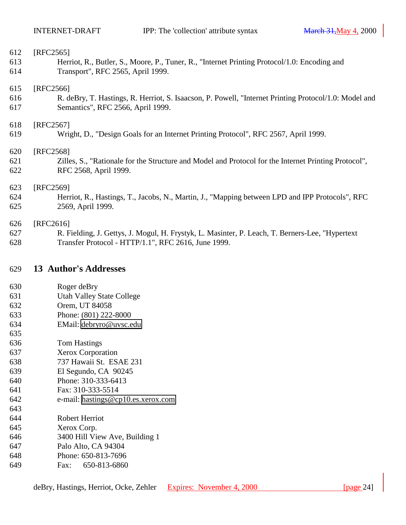<span id="page-23-0"></span>

| 612 | [RFC2565]                                                                                             |
|-----|-------------------------------------------------------------------------------------------------------|
| 613 | Herriot, R., Butler, S., Moore, P., Tuner, R., "Internet Printing Protocol/1.0: Encoding and          |
| 614 | Transport", RFC 2565, April 1999.                                                                     |
| 615 | [RFC2566]                                                                                             |
| 616 | R. deBry, T. Hastings, R. Herriot, S. Isaacson, P. Powell, "Internet Printing Protocol/1.0: Model and |
| 617 | Semantics", RFC 2566, April 1999.                                                                     |
| 618 | [RFC2567]                                                                                             |
| 619 | Wright, D., "Design Goals for an Internet Printing Protocol", RFC 2567, April 1999.                   |
| 620 | [RFC2568]                                                                                             |
| 621 | Zilles, S., "Rationale for the Structure and Model and Protocol for the Internet Printing Protocol",  |
| 622 | RFC 2568, April 1999.                                                                                 |
| 623 | [RFC2569]                                                                                             |
| 624 | Herriot, R., Hastings, T., Jacobs, N., Martin, J., "Mapping between LPD and IPP Protocols", RFC       |
| 625 | 2569, April 1999.                                                                                     |
| 626 | [RFC2616]                                                                                             |
| 627 | R. Fielding, J. Gettys, J. Mogul, H. Frystyk, L. Masinter, P. Leach, T. Berners-Lee, "Hypertext"      |

Transfer Protocol - HTTP/1.1", RFC 2616, June 1999.

## **13 Author's Addresses**

- Roger deBry
- Utah Valley State College
- Orem, UT 84058
- Phone: (801) 222-8000
- EMail: [debryro@uvsc.edu](mailto:debryro@uvsc.edu)
- Tom Hastings
- Xerox Corporation
- 737 Hawaii St. ESAE 231
- El Segundo, CA 90245
- Phone: 310-333-6413
- Fax: 310-333-5514
- e-mail: [hastings@cp10.es.xerox.com](mailto:hastings@cp10.es.xerox.com)
- Robert Herriot
- Xerox Corp.
- 3400 Hill View Ave, Building 1
- Palo Alto, CA 94304
- Phone: 650-813-7696
- Fax: 650-813-6860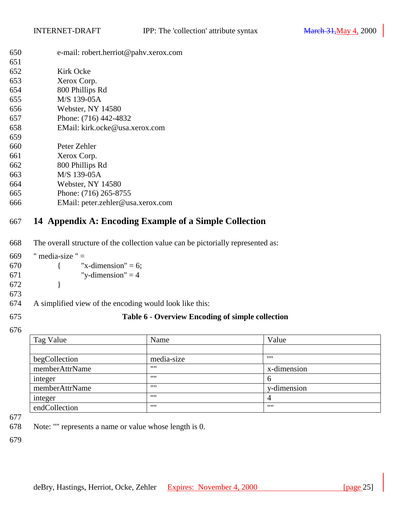<span id="page-24-0"></span>

| 650 | e-mail: robert.herriot@pahv.xerox.com |
|-----|---------------------------------------|
| 651 |                                       |

| U.J.I |                                   |
|-------|-----------------------------------|
| 652   | Kirk Ocke                         |
| 653   | Xerox Corp.                       |
| 654   | 800 Phillips Rd                   |
| 655   | M/S 139-05A                       |
| 656   | Webster, NY 14580                 |
| 657   | Phone: (716) 442-4832             |
| 658   | EMail: kirk.ocke@usa.xerox.com    |
| 659   |                                   |
| 660   | Peter Zehler                      |
| 661   | Xerox Corp.                       |
| 662   | 800 Phillips Rd                   |
| 663   | M/S 139-05A                       |
| 664   | Webster, NY 14580                 |
| 665   | Phone: (716) 265-8755             |
| 666   | EMail: peter.zehler@usa.xerox.com |

# **14 Appendix A: Encoding Example of a Simple Collection**

The overall structure of the collection value can be pictorially represented as:

| 669  | " media-size " $=$ |                       |
|------|--------------------|-----------------------|
| 670  |                    | "x-dimension" = $6$ ; |
| 671  |                    | "y-dimension" $=$ 4   |
| 672. |                    |                       |

A simplified view of the encoding would look like this:

# **Table 6 - Overview Encoding of simple collection**

| Tag Value      | Name       | Value       |
|----------------|------------|-------------|
|                |            |             |
| begCollection  | media-size |             |
| memberAttrName |            | x-dimension |
| integer        | 1111       | $\mathbf b$ |
| memberAttrName | 1111       | y-dimension |
| integer        |            | 4           |
| endCollection  | 1111       | 1111        |

Note: "" represents a name or value whose length is 0.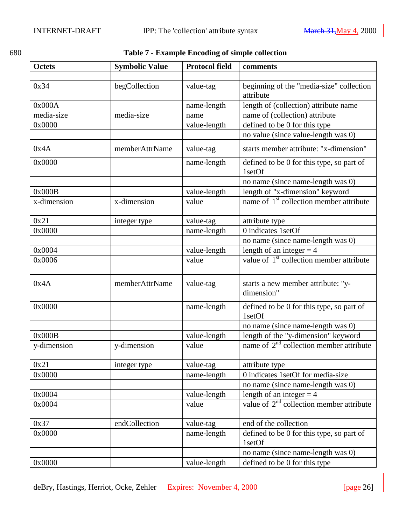| ۰<br>I<br>۰. | ۰.<br>×<br>v | I<br>۰,<br>× |  |
|--------------|--------------|--------------|--|
|              |              |              |  |

# <span id="page-25-0"></span>680 **Table 7 - Example Encoding of simple collection**

| <b>Octets</b> | <b>Symbolic Value</b> | <b>Protocol field</b> | comments                                              |
|---------------|-----------------------|-----------------------|-------------------------------------------------------|
|               |                       |                       |                                                       |
| 0x34          | begCollection         | value-tag             | beginning of the "media-size" collection<br>attribute |
| 0x000A        |                       | name-length           | length of (collection) attribute name                 |
| media-size    | media-size            | name                  | name of (collection) attribute                        |
| 0x0000        |                       | value-length          | defined to be 0 for this type                         |
|               |                       |                       | no value (since value-length was 0)                   |
| 0x4A          | memberAttrName        | value-tag             | starts member attribute: "x-dimension"                |
| 0x0000        |                       | name-length           | defined to be 0 for this type, so part of<br>1setOf   |
|               |                       |                       | no name (since name-length was 0)                     |
| 0x000B        |                       | value-length          | length of "x-dimension" keyword                       |
| x-dimension   | x-dimension           | value                 | name of 1 <sup>st</sup> collection member attribute   |
| 0x21          | integer type          | value-tag             | attribute type                                        |
| 0x0000        |                       | name-length           | 0 indicates 1setOf                                    |
|               |                       |                       | no name (since name-length was 0)                     |
| 0x0004        |                       | value-length          | length of an integer $=$ 4                            |
| 0x0006        |                       | value                 | value of $1st$ collection member attribute            |
| 0x4A          | memberAttrName        | value-tag             | starts a new member attribute: "y-<br>dimension"      |
| 0x0000        |                       | name-length           | defined to be 0 for this type, so part of<br>1setOf   |
|               |                       |                       | no name (since name-length was 0)                     |
| 0x000B        |                       | value-length          | length of the "y-dimension" keyword                   |
| y-dimension   | y-dimension           | value                 | name of $2nd$ collection member attribute             |
| 0x21          | integer type          | value-tag             | attribute type                                        |
| 0x0000        |                       | name-length           | 0 indicates 1setOf for media-size                     |
|               |                       |                       | no name (since name-length was 0)                     |
| 0x0004        |                       | value-length          | length of an integer $=$ 4                            |
| 0x0004        |                       | value                 | value of $2nd$ collection member attribute            |
| 0x37          | endCollection         | value-tag             | end of the collection                                 |
| 0x0000        |                       | name-length           | defined to be 0 for this type, so part of<br>1setOf   |
|               |                       |                       | no name (since name-length was 0)                     |
| 0x0000        |                       | value-length          | defined to be 0 for this type                         |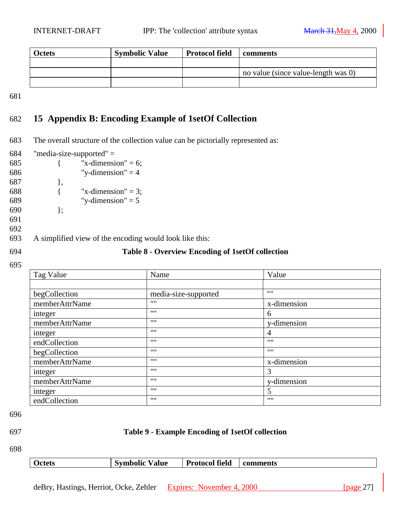<span id="page-26-0"></span>

| <b>Octets</b> | <b>Symbolic Value</b> | <b>Protocol field</b> | comments                            |
|---------------|-----------------------|-----------------------|-------------------------------------|
|               |                       |                       |                                     |
|               |                       |                       | no value (since value-length was 0) |
|               |                       |                       |                                     |

# 682 **15 Appendix B: Encoding Example of 1setOf Collection**

683 The overall structure of the collection value can be pictorially represented as:

| 684 |                  | "media-size-supported" $=$                              |                                                         |             |
|-----|------------------|---------------------------------------------------------|---------------------------------------------------------|-------------|
| 685 |                  | "x-dimension" = 6;                                      |                                                         |             |
| 686 |                  | "y-dimension" $=$ 4                                     |                                                         |             |
| 687 | },               |                                                         |                                                         |             |
| 688 |                  | "x-dimension" = 3;                                      |                                                         |             |
| 689 |                  | "y-dimension" $= 5$                                     |                                                         |             |
| 690 | };               |                                                         |                                                         |             |
| 691 |                  |                                                         |                                                         |             |
| 692 |                  |                                                         |                                                         |             |
| 693 |                  | A simplified view of the encoding would look like this: |                                                         |             |
| 694 |                  |                                                         | <b>Table 8 - Overview Encoding of 1setOf collection</b> |             |
| 695 |                  |                                                         |                                                         |             |
|     | $Ta\sigma$ Volue |                                                         | $N_{\alpha m\alpha}$                                    | $V_0$ $\mu$ |

| Tag Value      | Name                 | Value       |
|----------------|----------------------|-------------|
|                |                      |             |
| begCollection  | media-size-supported | 1111        |
| memberAttrName | 1111                 | x-dimension |
| integer        | 1111                 | 6           |
| memberAttrName | 1111                 | y-dimension |
| integer        | 1111                 | 4           |
| endCollection  | 1111                 | 1111        |
| begCollection  | 1111                 | 1111        |
| memberAttrName | 1111                 | x-dimension |
| integer        | 1111                 | 3           |
| memberAttrName | 1111                 | y-dimension |
| integer        | 1111                 | 5           |
| endCollection  | 1111                 | 1111        |

696

# 697 **Table 9 - Example Encoding of 1setOf collection**

698

| <b>Octets</b> | <b>Symbolic Value</b> | <b>Protocol field</b> | comments |
|---------------|-----------------------|-----------------------|----------|
|               |                       |                       |          |
|               |                       |                       |          |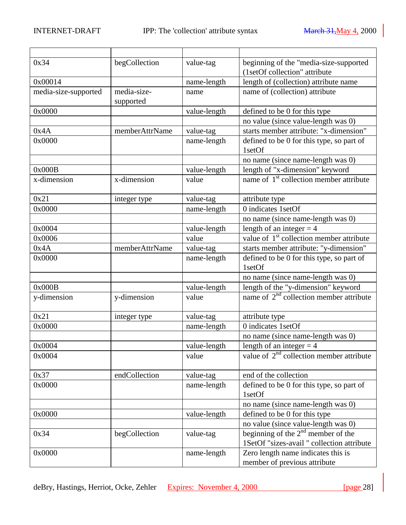| 0x34                 | begCollection  | value-tag             | beginning of the "media-size-supported                                                 |
|----------------------|----------------|-----------------------|----------------------------------------------------------------------------------------|
|                      |                |                       | (1setOf collection" attribute                                                          |
| 0x00014              |                | name-length           | length of (collection) attribute name                                                  |
| media-size-supported | media-size-    | name                  | name of (collection) attribute                                                         |
|                      | supported      |                       |                                                                                        |
| 0x0000               |                | value-length          | defined to be 0 for this type                                                          |
|                      |                |                       | no value (since value-length was 0)                                                    |
| 0x4A                 | memberAttrName | value-tag             | starts member attribute: "x-dimension"                                                 |
| 0x0000               |                | name-length           | defined to be 0 for this type, so part of<br>1setOf                                    |
|                      |                |                       |                                                                                        |
| 0x000B               |                |                       | no name (since name-length was 0)                                                      |
| x-dimension          | x-dimension    | value-length<br>value | length of "x-dimension" keyword<br>name of 1 <sup>st</sup> collection member attribute |
|                      |                |                       |                                                                                        |
| 0x21                 | integer type   | value-tag             | attribute type                                                                         |
| 0x0000               |                | name-length           | 0 indicates 1setOf                                                                     |
|                      |                |                       | no name (since name-length was 0)                                                      |
| 0x0004               |                | value-length          | length of an integer $=$ 4                                                             |
| 0x0006               |                | value                 | value of $1st$ collection member attribute                                             |
| 0x4A                 | memberAttrName | value-tag             | starts member attribute: "y-dimension"                                                 |
| 0x0000               |                | name-length           | defined to be 0 for this type, so part of<br>1setOf                                    |
|                      |                |                       | no name (since name-length was 0)                                                      |
| 0x000B               |                | value-length          | length of the "y-dimension" keyword                                                    |
| y-dimension          | y-dimension    | value                 | name of $2nd$ collection member attribute                                              |
| 0x21                 | integer type   | value-tag             | attribute type                                                                         |
| 0x0000               |                | name-length           | $\overline{0}$ indicates 1setOf                                                        |
|                      |                |                       | no name (since name-length was 0)                                                      |
| 0x0004               |                | value-length          | length of an integer $=$ 4                                                             |
| 0x0004               |                | value                 | value of $2nd$ collection member attribute                                             |
| 0x37                 | endCollection  | value-tag             | end of the collection                                                                  |
| 0x0000               |                | name-length           | defined to be 0 for this type, so part of                                              |
|                      |                |                       | 1setOf                                                                                 |
|                      |                |                       | no name (since name-length was 0)                                                      |
| 0x0000               |                | value-length          | defined to be 0 for this type                                                          |
|                      |                |                       | no value (since value-length was 0)                                                    |
| 0x34                 | begCollection  | value-tag             | beginning of the $2nd$ member of the                                                   |
|                      |                |                       | 1SetOf "sizes-avail " collection attribute                                             |
| 0x0000               |                | name-length           | Zero length name indicates this is                                                     |
|                      |                |                       | member of previous attribute                                                           |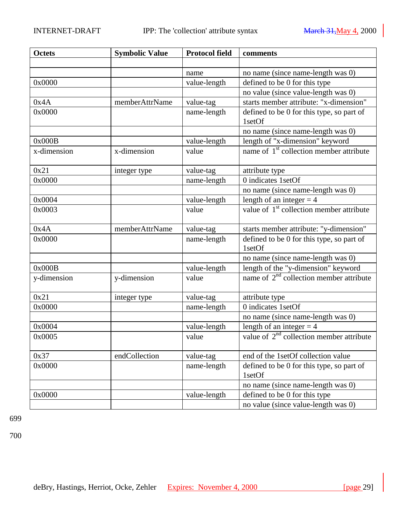| <b>Octets</b> | <b>Symbolic Value</b> | <b>Protocol field</b> | comments                                             |
|---------------|-----------------------|-----------------------|------------------------------------------------------|
|               |                       |                       |                                                      |
|               |                       | name                  | no name (since name-length was 0)                    |
| 0x0000        |                       | value-length          | defined to be 0 for this type                        |
|               |                       |                       | no value (since value-length was 0)                  |
| 0x4A          | memberAttrName        | value-tag             | starts member attribute: "x-dimension"               |
| 0x0000        |                       | name-length           | defined to be 0 for this type, so part of            |
|               |                       |                       | 1setOf                                               |
|               |                       |                       | no name (since name-length was 0)                    |
| 0x000B        |                       | value-length          | length of "x-dimension" keyword                      |
| x-dimension   | x-dimension           | value                 | name of 1 <sup>st</sup> collection member attribute  |
| 0x21          | integer type          | value-tag             | attribute type                                       |
| 0x0000        |                       | name-length           | 0 indicates 1setOf                                   |
|               |                       |                       | no name (since name-length was 0)                    |
| 0x0004        |                       | value-length          | length of an integer $=$ 4                           |
| 0x0003        |                       | value                 | value of 1 <sup>st</sup> collection member attribute |
|               |                       |                       |                                                      |
| 0x4A          | memberAttrName        | value-tag             | starts member attribute: "y-dimension"               |
| 0x0000        |                       | name-length           | defined to be 0 for this type, so part of<br>1setOf  |
|               |                       |                       | no name (since name-length was 0)                    |
| 0x000B        |                       | value-length          | length of the "y-dimension" keyword                  |
| y-dimension   | y-dimension           | value                 | name of $2nd$ collection member attribute            |
| 0x21          | integer type          | value-tag             | attribute type                                       |
| 0x0000        |                       | name-length           | 0 indicates 1setOf                                   |
|               |                       |                       | no name (since name-length was 0)                    |
| 0x0004        |                       | value-length          | length of an integer $=$ 4                           |
| 0x0005        |                       | value                 | value of $2nd$ collection member attribute           |
| 0x37          | endCollection         | value-tag             | end of the 1setOf collection value                   |
| 0x0000        |                       | name-length           | defined to be 0 for this type, so part of            |
|               |                       |                       | 1setOf                                               |
|               |                       |                       | no name (since name-length was 0)                    |
| 0x0000        |                       | value-length          | defined to be 0 for this type                        |
|               |                       |                       | no value (since value-length was 0)                  |

700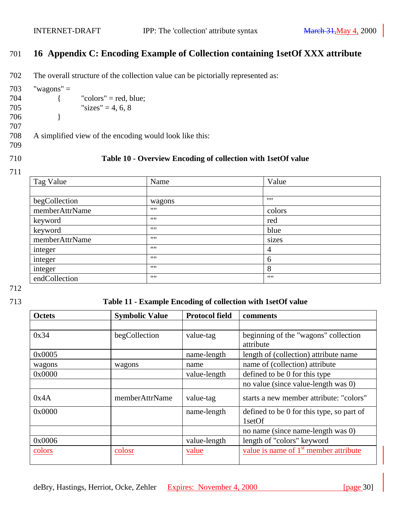# <span id="page-29-0"></span>701 **16 Appendix C: Encoding Example of Collection containing 1setOf XXX attribute**

702 The overall structure of the collection value can be pictorially represented as:

 $703$  "wagons" =  $704$  { "colors" = red, blue;

- 705 "sizes" = 4, 6, 8"
- 706 }
- 707

708 A simplified view of the encoding would look like this:

709

#### 710 **Table 10 - Overview Encoding of collection with 1setOf value**

711

| Tag Value      | Name   | Value  |  |
|----------------|--------|--------|--|
|                |        |        |  |
| begCollection  | wagons | 1111   |  |
| memberAttrName | 1111   | colors |  |
| keyword        | 1111   | red    |  |
| keyword        | 1111   | blue   |  |
| memberAttrName | 1111   | sizes  |  |
| integer        | 1111   | 4      |  |
| integer        | 1111   | 6      |  |
| integer        | 1111   | 8      |  |
| endCollection  | 1111   | 1111   |  |

712

#### 713 **Table 11 - Example Encoding of collection with 1setOf value**

| <b>Octets</b> | <b>Symbolic Value</b> | <b>Protocol field</b> | comments                                            |
|---------------|-----------------------|-----------------------|-----------------------------------------------------|
|               |                       |                       |                                                     |
| 0x34          | begCollection         | value-tag             | beginning of the "wagons" collection<br>attribute   |
| 0x0005        |                       | name-length           | length of (collection) attribute name               |
| wagons        | wagons                | name                  | name of (collection) attribute                      |
| 0x0000        |                       | value-length          | defined to be 0 for this type                       |
|               |                       |                       | no value (since value-length was 0)                 |
| 0x4A          | memberAttrName        | value-tag             | starts a new member attribute: "colors"             |
| 0x0000        |                       | name-length           | defined to be 0 for this type, so part of<br>1setOf |
|               |                       |                       | no name (since name-length was 0)                   |
| 0x0006        |                       | value-length          | length of "colors" keyword                          |
| colors        | colosr                | value                 | value is name of 1 <sup>st</sup> member attribute   |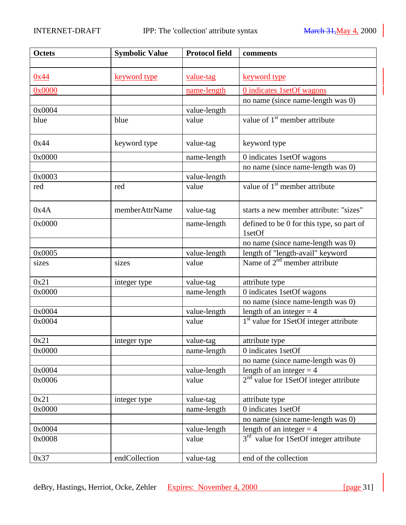| <b>Octets</b> | <b>Symbolic Value</b> | <b>Protocol field</b> | comments                                            |
|---------------|-----------------------|-----------------------|-----------------------------------------------------|
|               |                       |                       |                                                     |
| 0x44          | keyword type          | value-tag             | keyword type                                        |
| 0x0000        |                       | name-length           | 0 indicates 1setOf wagons                           |
|               |                       |                       | no name (since name-length was 0)                   |
| 0x0004        |                       | value-length          |                                                     |
| blue          | blue                  | value                 | value of 1 <sup>st</sup> member attribute           |
| 0x44          | keyword type          | value-tag             | keyword type                                        |
| 0x0000        |                       | name-length           | 0 indicates 1setOf wagons                           |
|               |                       |                       | no name (since name-length was 0)                   |
| 0x0003        |                       | value-length          |                                                     |
| red           | red                   | value                 | value of 1 <sup>st</sup> member attribute           |
| 0x4A          | memberAttrName        | value-tag             | starts a new member attribute: "sizes"              |
| 0x0000        |                       | name-length           | defined to be 0 for this type, so part of<br>1setOf |
|               |                       |                       | no name (since name-length was 0)                   |
| 0x0005        |                       | value-length          | length of "length-avail" keyword                    |
| sizes         | sizes                 | value                 | Name of $2nd$ member attribute                      |
| 0x21          | integer type          | value-tag             | attribute type                                      |
| 0x0000        |                       | name-length           | 0 indicates 1setOf wagons                           |
|               |                       |                       | no name (since name-length was 0)                   |
| 0x0004        |                       | value-length          | length of an integer $=$ 4                          |
| 0x0004        |                       | value                 | 1 <sup>st</sup> value for 1SetOf integer attribute  |
| 0x21          | integer type          | value-tag             | attribute type                                      |
| 0x0000        |                       | name-length           | 0 indicates 1setOf                                  |
|               |                       |                       | no name (since name-length was 0)                   |
| 0x0004        |                       | value-length          | length of an integer $=$ 4                          |
| 0x0006        |                       | value                 | 2 <sup>nd</sup> value for 1SetOf integer attribute  |
| 0x21          | integer type          | value-tag             | attribute type                                      |
| 0x0000        |                       | name-length           | 0 indicates 1setOf                                  |
|               |                       |                       | no name (since name-length was 0)                   |
| 0x0004        |                       | value-length          | length of an integer $=$ 4                          |
| 0x0008        |                       | value                 | 3 <sup>rd</sup> value for 1SetOf integer attribute  |
| 0x37          | endCollection         | value-tag             | end of the collection                               |